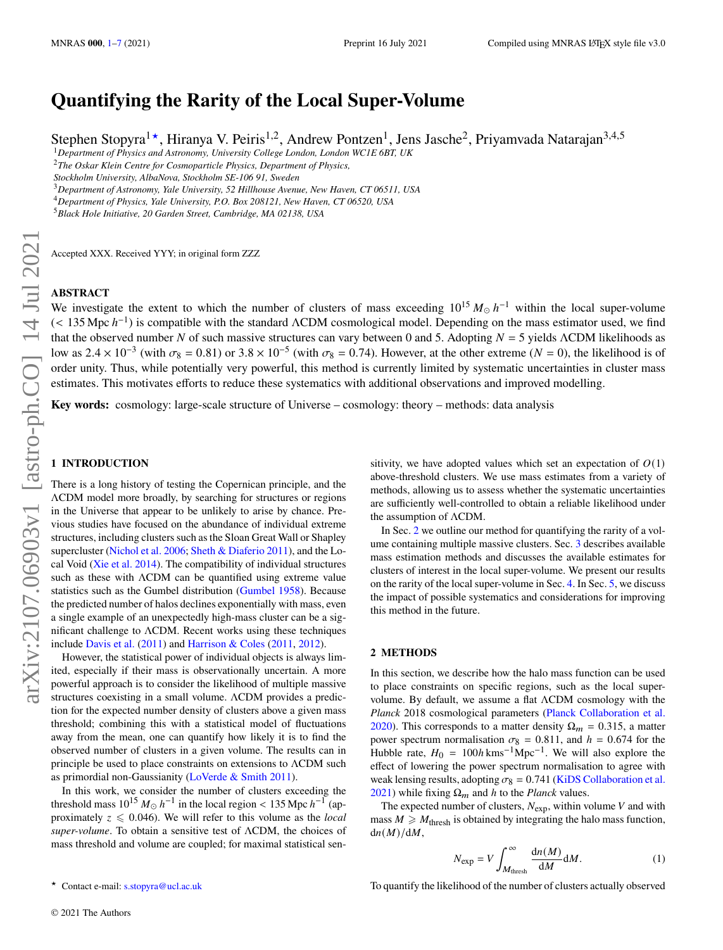# **Quantifying the Rarity of the Local Super-Volume**

Stephen Stopyra<sup>1\*</sup>, Hiranya V. Peiris<sup>1,2</sup>, Andrew Pontzen<sup>1</sup>, Jens Jasche<sup>2</sup>, Priyamvada Natarajan<sup>3,4,5</sup>

<sup>1</sup>*Department of Physics and Astronomy, University College London, London WC1E 6BT, UK*

<sup>2</sup>*The Oskar Klein Centre for Cosmoparticle Physics, Department of Physics,*

*Stockholm University, AlbaNova, Stockholm SE-106 91, Sweden*

<sup>3</sup>*Department of Astronomy, Yale University, 52 Hillhouse Avenue, New Haven, CT 06511, USA*

<sup>4</sup>*Department of Physics, Yale University, P.O. Box 208121, New Haven, CT 06520, USA*

<sup>5</sup>*Black Hole Initiative, 20 Garden Street, Cambridge, MA 02138, USA*

Accepted XXX. Received YYY; in original form ZZZ

## **ABSTRACT**

We investigate the extent to which the number of clusters of mass exceeding  $10^{15} M_{\odot} h^{-1}$  within the local super-volume  $($  < 135 Mpc  $h^{-1}$ ) is compatible with the standard  $\Lambda$ CDM cosmological model. Depending on the mass estimator used, we find that the observed number N of such massive structures can vary between 0 and 5. Adopting  $N = 5$  yields  $\Lambda$ CDM likelihoods as low as  $2.4 \times 10^{-3}$  (with  $\sigma_8 = 0.81$ ) or  $3.8 \times 10^{-5}$  (with  $\sigma_8 = 0.74$ ). However, at the other extreme ( $N = 0$ ), the likelihood is of order unity. Thus, while potentially very powerful, this method is currently limited by systematic uncertainties in cluster mass estimates. This motivates efforts to reduce these systematics with additional observations and improved modelling.

**Key words:** cosmology: large-scale structure of Universe – cosmology: theory – methods: data analysis

# <span id="page-0-0"></span>**1 INTRODUCTION**

There is a long history of testing the Copernican principle, and the ΛCDM model more broadly, by searching for structures or regions in the Universe that appear to be unlikely to arise by chance. Previous studies have focused on the abundance of individual extreme structures, including clusters such as the Sloan Great Wall or Shapley supercluster [\(Nichol et al.](#page-6-0) [2006;](#page-6-0) [Sheth & Diaferio](#page-6-1) [2011\)](#page-6-1), and the Local Void [\(Xie et al.](#page-6-2) [2014\)](#page-6-2). The compatibility of individual structures such as these with ΛCDM can be quantified using extreme value statistics such as the Gumbel distribution [\(Gumbel](#page-5-0) [1958\)](#page-5-0). Because the predicted number of halos declines exponentially with mass, even a single example of an unexpectedly high-mass cluster can be a significant challenge to ΛCDM. Recent works using these techniques include [Davis et al.](#page-5-1) [\(2011\)](#page-5-1) and [Harrison & Coles](#page-5-2) [\(2011,](#page-5-2) [2012\)](#page-5-3).

However, the statistical power of individual objects is always limited, especially if their mass is observationally uncertain. A more powerful approach is to consider the likelihood of multiple massive structures coexisting in a small volume. ΛCDM provides a prediction for the expected number density of clusters above a given mass threshold; combining this with a statistical model of fluctuations away from the mean, one can quantify how likely it is to find the observed number of clusters in a given volume. The results can in principle be used to place constraints on extensions to ΛCDM such as primordial non-Gaussianity [\(LoVerde & Smith](#page-5-4) [2011\)](#page-5-4).

In this work, we consider the number of clusters exceeding the threshold mass  $10^{15} M_{\odot} h^{-1}$  in the local region < 135 Mpc  $h^{-1}$  (approximately  $z \leq 0.046$ ). We will refer to this volume as the *local* super-volume. To obtain a sensitive test of ΛCDM, the choices of mass threshold and volume are coupled; for maximal statistical sensitivity, we have adopted values which set an expectation of  $O(1)$ above-threshold clusters. We use mass estimates from a variety of methods, allowing us to assess whether the systematic uncertainties are sufficiently well-controlled to obtain a reliable likelihood under the assumption of ΛCDM.

In Sec. [2](#page-0-1) we outline our method for quantifying the rarity of a volume containing multiple massive clusters. Sec. [3](#page-1-0) describes available mass estimation methods and discusses the available estimates for clusters of interest in the local super-volume. We present our results on the rarity of the local super-volume in Sec. [4.](#page-4-1) In Sec. [5,](#page-4-0) we discuss the impact of possible systematics and considerations for improving this method in the future.

#### <span id="page-0-1"></span>**2 METHODS**

In this section, we describe how the halo mass function can be used to place constraints on specific regions, such as the local supervolume. By default, we assume a flat ΛCDM cosmology with the Planck 2018 cosmological parameters [\(Planck Collaboration et al.](#page-6-3) [2020\)](#page-6-3). This corresponds to a matter density  $\Omega_m = 0.315$ , a matter power spectrum normalisation  $\sigma_8 = 0.811$ , and  $h = 0.674$  for the Hubble rate,  $H_0 = 100h \text{ km s}^{-1} \text{ Mpc}^{-1}$ . We will also explore the effect of lowering the power spectrum normalisation to agree with weak lensing results, adopting  $\sigma_8 = 0.741$  [\(KiDS Collaboration et al.](#page-5-5) [2021\)](#page-5-5) while fixing  $\Omega_m$  and h to the Planck values.

The expected number of clusters,  $N_{\text{exp}}$ , within volume V and with mass  $M \ge M_{\text{thresh}}$  is obtained by integrating the halo mass function,  $dn(M)/dM$ ,

$$
N_{\rm exp} = V \int_{M_{\rm thresh}}^{\infty} \frac{dn(M)}{dM} dM.
$$
 (1)

To quantify the likelihood of the number of clusters actually observed

Contact e-mail: [s.stopyra@ucl.ac.uk](mailto:s.stopyra@ucl.ac.uk)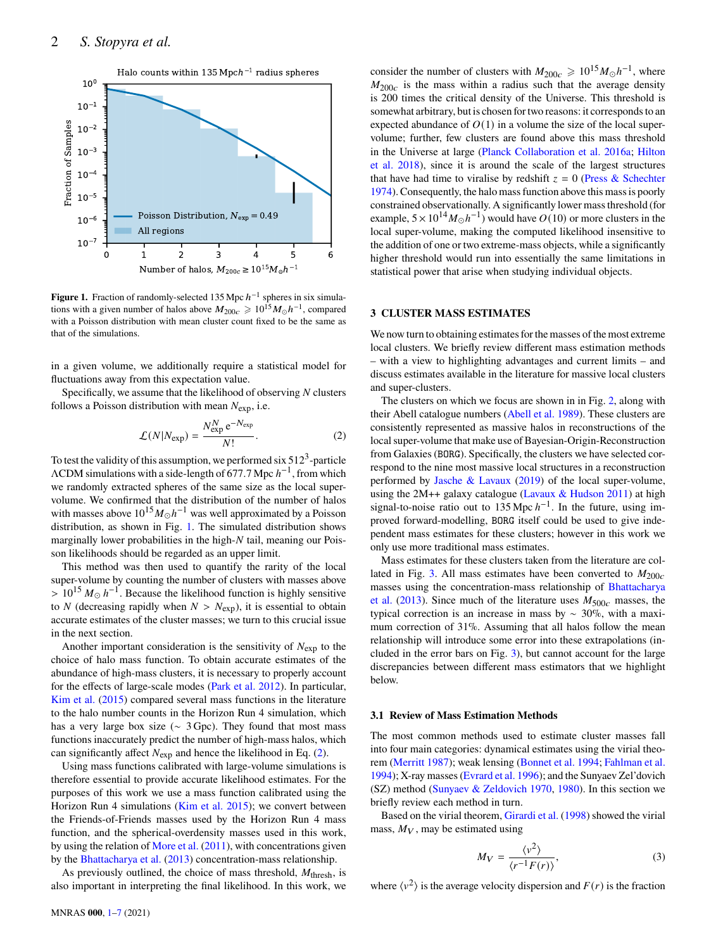

**Figure 1.** Fraction of randomly-selected  $135$  Mpc  $h^{-1}$  spheres in six simulations with a given number of halos above  $M_{200c} \geq 10^{15} M_{\odot} h^{-1}$ , compared with a Poisson distribution with mean cluster count fixed to be the same as that of the simulations.

in a given volume, we additionally require a statistical model for fluctuations away from this expectation value.

Specifically, we assume that the likelihood of observing  $N$  clusters follows a Poisson distribution with mean  $N_{\text{exp}}$ , i.e.

$$
\mathcal{L}(N|N_{\rm exp}) = \frac{N_{\rm exp}^N e^{-N_{\rm exp}}}{N!}.
$$
 (2)

To test the validity of this assumption, we performed six  $512<sup>3</sup>$ -particle  $\Lambda$ CDM simulations with a side-length of 677.7 Mpc  $h^{-1}$ , from which we randomly extracted spheres of the same size as the local supervolume. We confirmed that the distribution of the number of halos with masses above  $10^{15}M_{\odot}h^{-1}$  was well approximated by a Poisson distribution, as shown in Fig. [1.](#page-1-1) The simulated distribution shows marginally lower probabilities in the high- $N$  tail, meaning our Poisson likelihoods should be regarded as an upper limit.

This method was then used to quantify the rarity of the local super-volume by counting the number of clusters with masses above >  $10^{15} M_{\odot} h^{-1}$ . Because the likelihood function is highly sensitive to *N* (decreasing rapidly when  $N > N<sub>exp</sub>$ ), it is essential to obtain accurate estimates of the cluster masses; we turn to this crucial issue in the next section.

Another important consideration is the sensitivity of  $N_{\text{exp}}$  to the choice of halo mass function. To obtain accurate estimates of the abundance of high-mass clusters, it is necessary to properly account for the effects of large-scale modes [\(Park et al.](#page-6-4) [2012\)](#page-6-4). In particular, [Kim et al.](#page-5-6) [\(2015\)](#page-5-6) compared several mass functions in the literature to the halo number counts in the Horizon Run 4 simulation, which has a very large box size (∼ 3 Gpc). They found that most mass functions inaccurately predict the number of high-mass halos, which can significantly affect  $N_{\text{exp}}$  and hence the likelihood in Eq. [\(2\)](#page-1-2).

Using mass functions calibrated with large-volume simulations is therefore essential to provide accurate likelihood estimates. For the purposes of this work we use a mass function calibrated using the Horizon Run 4 simulations [\(Kim et al.](#page-5-6) [2015\)](#page-5-6); we convert between the Friends-of-Friends masses used by the Horizon Run 4 mass function, and the spherical-overdensity masses used in this work, by using the relation of [More et al.](#page-6-5) [\(2011\)](#page-6-5), with concentrations given by the [Bhattacharya et al.](#page-5-7) [\(2013\)](#page-5-7) concentration-mass relationship.

As previously outlined, the choice of mass threshold,  $M_{\text{thresh}}$ , is also important in interpreting the final likelihood. In this work, we

consider the number of clusters with  $M_{200c} \ge 10^{15} M_{\odot} h^{-1}$ , where  $M_{200c}$  is the mass within a radius such that the average density is 200 times the critical density of the Universe. This threshold is somewhat arbitrary, but is chosen for two reasons: it corresponds to an expected abundance of  $O(1)$  in a volume the size of the local supervolume; further, few clusters are found above this mass threshold in the Universe at large [\(Planck Collaboration et al.](#page-6-6) [2016a;](#page-6-6) [Hilton](#page-5-8) [et al.](#page-5-8) [2018\)](#page-5-8), since it is around the scale of the largest structures that have had time to viralise by redshift  $z = 0$  [\(Press & Schechter](#page-6-7) [1974\)](#page-6-7). Consequently, the halo mass function above this mass is poorly constrained observationally. A significantly lower mass threshold (for example,  $5 \times 10^{14} M_{\odot} h^{-1}$ ) would have  $O(10)$  or more clusters in the local super-volume, making the computed likelihood insensitive to the addition of one or two extreme-mass objects, while a significantly higher threshold would run into essentially the same limitations in statistical power that arise when studying individual objects.

# <span id="page-1-1"></span><span id="page-1-0"></span>**3 CLUSTER MASS ESTIMATES**

We now turn to obtaining estimates for the masses of the most extreme local clusters. We briefly review different mass estimation methods – with a view to highlighting advantages and current limits – and discuss estimates available in the literature for massive local clusters and super-clusters.

<span id="page-1-2"></span>The clusters on which we focus are shown in in Fig. [2,](#page-2-0) along with their Abell catalogue numbers [\(Abell et al.](#page-5-9) [1989\)](#page-5-9). These clusters are consistently represented as massive halos in reconstructions of the local super-volume that make use of Bayesian-Origin-Reconstruction from Galaxies (BORG). Specifically, the clusters we have selected correspond to the nine most massive local structures in a reconstruction performed by [Jasche & Lavaux](#page-5-10) [\(2019\)](#page-5-10) of the local super-volume, using the 2M++ galaxy catalogue [\(Lavaux & Hudson](#page-5-11) [2011\)](#page-5-11) at high signal-to-noise ratio out to 135 Mpc  $h^{-1}$ . In the future, using improved forward-modelling, BORG itself could be used to give independent mass estimates for these clusters; however in this work we only use more traditional mass estimates.

Mass estimates for these clusters taken from the literature are col-lated in Fig. [3.](#page-3-0) All mass estimates have been converted to  $M_{200c}$ masses using the concentration-mass relationship of [Bhattacharya](#page-5-7) [et al.](#page-5-7) [\(2013\)](#page-5-7). Since much of the literature uses  $M_{500c}$  masses, the typical correction is an increase in mass by ∼ 30%, with a maximum correction of 31%. Assuming that all halos follow the mean relationship will introduce some error into these extrapolations (included in the error bars on Fig. [3\)](#page-3-0), but cannot account for the large discrepancies between different mass estimators that we highlight below.

#### **3.1 Review of Mass Estimation Methods**

The most common methods used to estimate cluster masses fall into four main categories: dynamical estimates using the virial theorem [\(Merritt](#page-6-8) [1987\)](#page-6-8); weak lensing [\(Bonnet et al.](#page-5-12) [1994;](#page-5-12) [Fahlman et al.](#page-5-13) [1994\)](#page-5-13); X-ray masses [\(Evrard et al.](#page-5-14) [1996\)](#page-5-14); and the Sunyaev Zel'dovich (SZ) method [\(Sunyaev & Zeldovich](#page-6-9) [1970,](#page-6-9) [1980\)](#page-6-10). In this section we briefly review each method in turn.

Based on the virial theorem, [Girardi et al.](#page-5-15) [\(1998\)](#page-5-15) showed the virial mass,  $M_V$ , may be estimated using

$$
M_V = \frac{\langle v^2 \rangle}{\langle r^{-1}F(r) \rangle},\tag{3}
$$

where  $\langle v^2 \rangle$  is the average velocity dispersion and  $F(r)$  is the fraction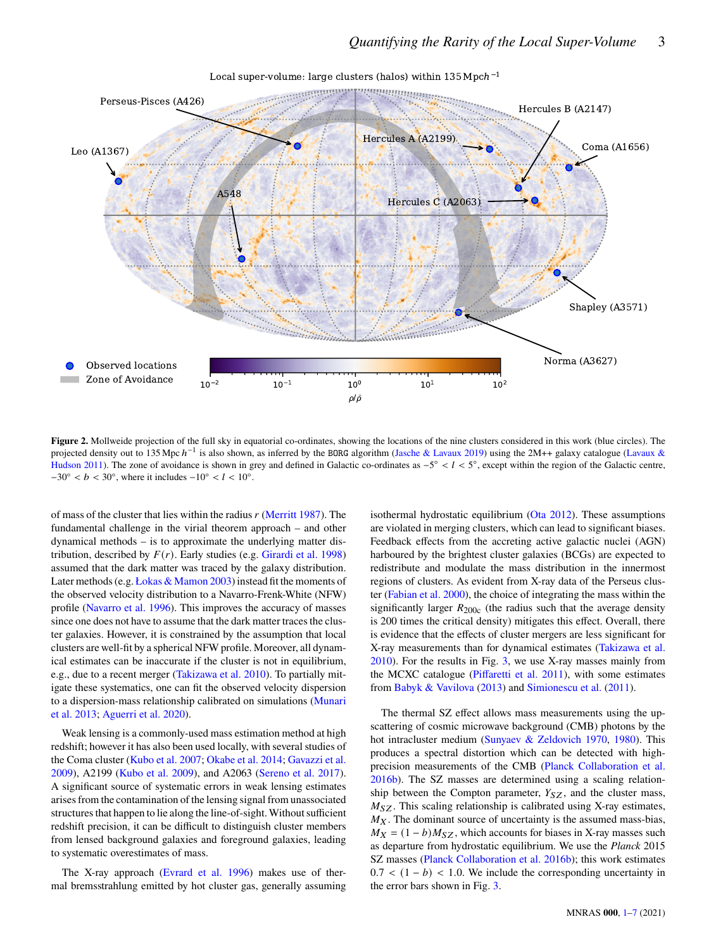

Local super-volume: large clusters (halos) within 135Mpc*h* 1

**Figure 2.** Mollweide projection of the full sky in equatorial co-ordinates, showing the locations of the nine clusters considered in this work (blue circles). The projected density out to 135 Mpc  $h^{-1}$  is also shown, as inferred by the BORG algorithm [\(Jasche & Lavaux](#page-5-10) [2019\)](#page-5-10) using the 2M++ galaxy catalogue [\(Lavaux &](#page-5-11) [Hudson](#page-5-11) [2011\)](#page-5-11). The zone of avoidance is shown in grey and defined in Galactic co-ordinates as  $-5^{\circ} < l < 5^{\circ}$ , except within the region of the Galactic centre,  $-30^{\circ} < b < 30^{\circ}$ , where it includes  $-10^{\circ} < l < 10^{\circ}$ .

of mass of the cluster that lies within the radius  $r$  [\(Merritt](#page-6-8) [1987\)](#page-6-8). The fundamental challenge in the virial theorem approach – and other dynamical methods – is to approximate the underlying matter distribution, described by  $F(r)$ . Early studies (e.g. [Girardi et al.](#page-5-15) [1998\)](#page-5-15) assumed that the dark matter was traced by the galaxy distribution. Later methods (e.g. [Łokas & Mamon](#page-5-16) [2003\)](#page-5-16) instead fit the moments of the observed velocity distribution to a Navarro-Frenk-White (NFW) profile [\(Navarro et al.](#page-6-11) [1996\)](#page-6-11). This improves the accuracy of masses since one does not have to assume that the dark matter traces the cluster galaxies. However, it is constrained by the assumption that local clusters are well-fit by a spherical NFW profile. Moreover, all dynamical estimates can be inaccurate if the cluster is not in equilibrium, e.g., due to a recent merger [\(Takizawa et al.](#page-6-12) [2010\)](#page-6-12). To partially mitigate these systematics, one can fit the observed velocity dispersion to a dispersion-mass relationship calibrated on simulations [\(Munari](#page-6-13) [et al.](#page-6-13) [2013;](#page-6-13) [Aguerri et al.](#page-5-17) [2020\)](#page-5-17).

Weak lensing is a commonly-used mass estimation method at high redshift; however it has also been used locally, with several studies of the Coma cluster [\(Kubo et al.](#page-5-18) [2007;](#page-5-18) [Okabe et al.](#page-6-14) [2014;](#page-6-14) [Gavazzi et al.](#page-5-19) [2009\)](#page-5-19), A2199 [\(Kubo et al.](#page-5-20) [2009\)](#page-5-20), and A2063 [\(Sereno et al.](#page-6-15) [2017\)](#page-6-15). A significant source of systematic errors in weak lensing estimates arises from the contamination of the lensing signal from unassociated structures that happen to lie along the line-of-sight. Without sufficient redshift precision, it can be difficult to distinguish cluster members from lensed background galaxies and foreground galaxies, leading to systematic overestimates of mass.

The X-ray approach [\(Evrard et al.](#page-5-14) [1996\)](#page-5-14) makes use of thermal bremsstrahlung emitted by hot cluster gas, generally assuming <span id="page-2-0"></span>isothermal hydrostatic equilibrium [\(Ota](#page-6-16) [2012\)](#page-6-16). These assumptions are violated in merging clusters, which can lead to significant biases. Feedback effects from the accreting active galactic nuclei (AGN) harboured by the brightest cluster galaxies (BCGs) are expected to redistribute and modulate the mass distribution in the innermost regions of clusters. As evident from X-ray data of the Perseus cluster [\(Fabian et al.](#page-5-21) [2000\)](#page-5-21), the choice of integrating the mass within the significantly larger  $R_{200c}$  (the radius such that the average density is 200 times the critical density) mitigates this effect. Overall, there is evidence that the effects of cluster mergers are less significant for X-ray measurements than for dynamical estimates [\(Takizawa et al.](#page-6-12) [2010\)](#page-6-12). For the results in Fig. [3,](#page-3-0) we use X-ray masses mainly from the MCXC catalogue [\(Piffaretti et al.](#page-6-17) [2011\)](#page-6-17), with some estimates from [Babyk & Vavilova](#page-5-22) [\(2013\)](#page-5-22) and [Simionescu et al.](#page-6-18) [\(2011\)](#page-6-18).

The thermal SZ effect allows mass measurements using the upscattering of cosmic microwave background (CMB) photons by the hot intracluster medium [\(Sunyaev & Zeldovich](#page-6-9) [1970,](#page-6-9) [1980\)](#page-6-10). This produces a spectral distortion which can be detected with highprecision measurements of the CMB [\(Planck Collaboration et al.](#page-6-19) [2016b\)](#page-6-19). The SZ masses are determined using a scaling relationship between the Compton parameter,  $Y_{SZ}$ , and the cluster mass,  $M_{SZ}$ . This scaling relationship is calibrated using X-ray estimates,  $M_X$ . The dominant source of uncertainty is the assumed mass-bias,  $M_X = (1 - b)M_{SZ}$ , which accounts for biases in X-ray masses such as departure from hydrostatic equilibrium. We use the Planck 2015 SZ masses [\(Planck Collaboration et al.](#page-6-19) [2016b\)](#page-6-19); this work estimates  $0.7 < (1 - b) < 1.0$ . We include the corresponding uncertainty in the error bars shown in Fig. [3.](#page-3-0)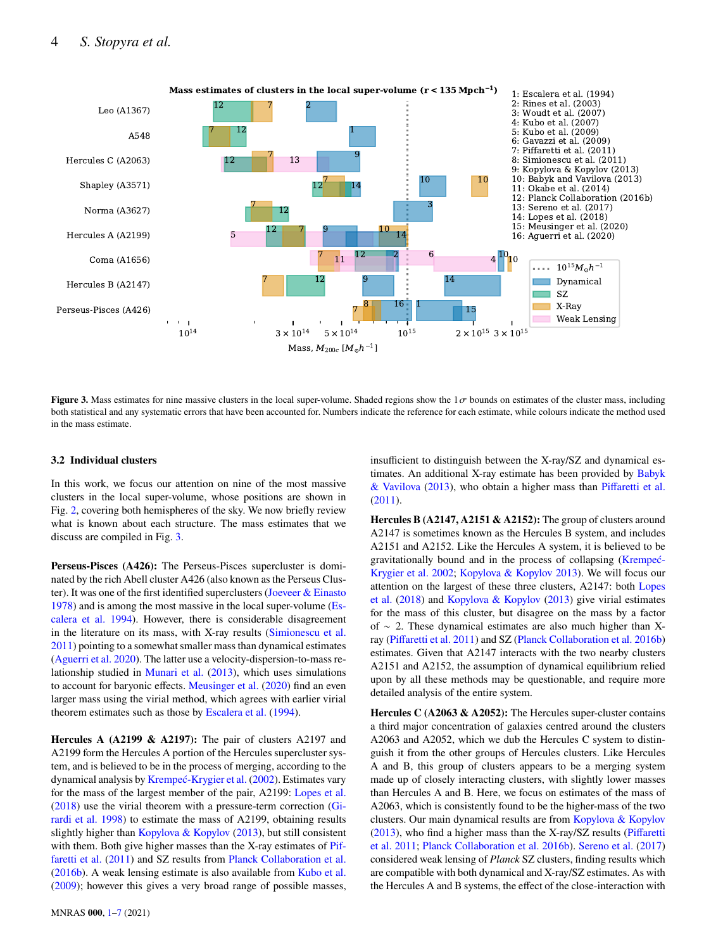

**Figure 3.** Mass estimates for nine massive clusters in the local super-volume. Shaded regions show the  $1\sigma$  bounds on estimates of the cluster mass, including both statistical and any systematic errors that have been accounted for. Numbers indicate the reference for each estimate, while colours indicate the method used in the mass estimate.

## **3.2 Individual clusters**

In this work, we focus our attention on nine of the most massive clusters in the local super-volume, whose positions are shown in Fig. [2,](#page-2-0) covering both hemispheres of the sky. We now briefly review what is known about each structure. The mass estimates that we discuss are compiled in Fig. [3.](#page-3-0)

**Perseus-Pisces (A426):** The Perseus-Pisces supercluster is dominated by the rich Abell cluster A426 (also known as the Perseus Cluster). It was one of the first identified superclusters [\(Joeveer & Einasto](#page-5-23) [1978\)](#page-5-23) and is among the most massive in the local super-volume [\(Es](#page-5-24)[calera et al.](#page-5-24) [1994\)](#page-5-24). However, there is considerable disagreement in the literature on its mass, with X-ray results [\(Simionescu et al.](#page-6-18) [2011\)](#page-6-18) pointing to a somewhat smaller mass than dynamical estimates [\(Aguerri et al.](#page-5-17) [2020\)](#page-5-17). The latter use a velocity-dispersion-to-mass relationship studied in [Munari et al.](#page-6-13) [\(2013\)](#page-6-13), which uses simulations to account for baryonic effects. [Meusinger et al.](#page-6-20) [\(2020\)](#page-6-20) find an even larger mass using the virial method, which agrees with earlier virial theorem estimates such as those by [Escalera et al.](#page-5-24) [\(1994\)](#page-5-24).

**Hercules A (A2199 & A2197):** The pair of clusters A2197 and A2199 form the Hercules A portion of the Hercules supercluster system, and is believed to be in the process of merging, according to the dynamical analysis by [Krempeć-Krygier et al.](#page-5-25) [\(2002\)](#page-5-25). Estimates vary for the mass of the largest member of the pair, A2199: [Lopes et al.](#page-5-26) [\(2018\)](#page-5-26) use the virial theorem with a pressure-term correction [\(Gi](#page-5-15)[rardi et al.](#page-5-15) [1998\)](#page-5-15) to estimate the mass of A2199, obtaining results slightly higher than [Kopylova & Kopylov](#page-5-27) [\(2013\)](#page-5-27), but still consistent with them. Both give higher masses than the X-ray estimates of [Pif](#page-6-17)[faretti et al.](#page-6-17) [\(2011\)](#page-6-17) and SZ results from [Planck Collaboration et al.](#page-6-19) [\(2016b\)](#page-6-19). A weak lensing estimate is also available from [Kubo et al.](#page-5-20) [\(2009\)](#page-5-20); however this gives a very broad range of possible masses,

MNRAS **000**, [1](#page-0-0)[–7](#page-4-0) (2021)

<span id="page-3-0"></span>insufficient to distinguish between the X-ray/SZ and dynamical estimates. An additional X-ray estimate has been provided by [Babyk](#page-5-22) [& Vavilova](#page-5-22) [\(2013\)](#page-5-22), who obtain a higher mass than [Piffaretti et al.](#page-6-17) [\(2011\)](#page-6-17).

**Hercules B (A2147, A2151 & A2152):** The group of clusters around A2147 is sometimes known as the Hercules B system, and includes A2151 and A2152. Like the Hercules A system, it is believed to be gravitationally bound and in the process of collapsing [\(Krempeć-](#page-5-25)[Krygier et al.](#page-5-25) [2002;](#page-5-25) [Kopylova & Kopylov](#page-5-27) [2013\)](#page-5-27). We will focus our attention on the largest of these three clusters, A2147: both [Lopes](#page-5-26) [et al.](#page-5-26) [\(2018\)](#page-5-26) and [Kopylova & Kopylov](#page-5-27) [\(2013\)](#page-5-27) give virial estimates for the mass of this cluster, but disagree on the mass by a factor of ∼ 2. These dynamical estimates are also much higher than Xray [\(Piffaretti et al.](#page-6-17) [2011\)](#page-6-17) and SZ [\(Planck Collaboration et al.](#page-6-19) [2016b\)](#page-6-19) estimates. Given that A2147 interacts with the two nearby clusters A2151 and A2152, the assumption of dynamical equilibrium relied upon by all these methods may be questionable, and require more detailed analysis of the entire system.

**Hercules C (A2063 & A2052):** The Hercules super-cluster contains a third major concentration of galaxies centred around the clusters A2063 and A2052, which we dub the Hercules C system to distinguish it from the other groups of Hercules clusters. Like Hercules A and B, this group of clusters appears to be a merging system made up of closely interacting clusters, with slightly lower masses than Hercules A and B. Here, we focus on estimates of the mass of A2063, which is consistently found to be the higher-mass of the two clusters. Our main dynamical results are from [Kopylova & Kopylov](#page-5-27) [\(2013\)](#page-5-27), who find a higher mass than the X-ray/SZ results [\(Piffaretti](#page-6-17) [et al.](#page-6-17) [2011;](#page-6-17) [Planck Collaboration et al.](#page-6-19) [2016b\)](#page-6-19). [Sereno et al.](#page-6-15) [\(2017\)](#page-6-15) considered weak lensing of Planck SZ clusters, finding results which are compatible with both dynamical and X-ray/SZ estimates. As with the Hercules A and B systems, the effect of the close-interaction with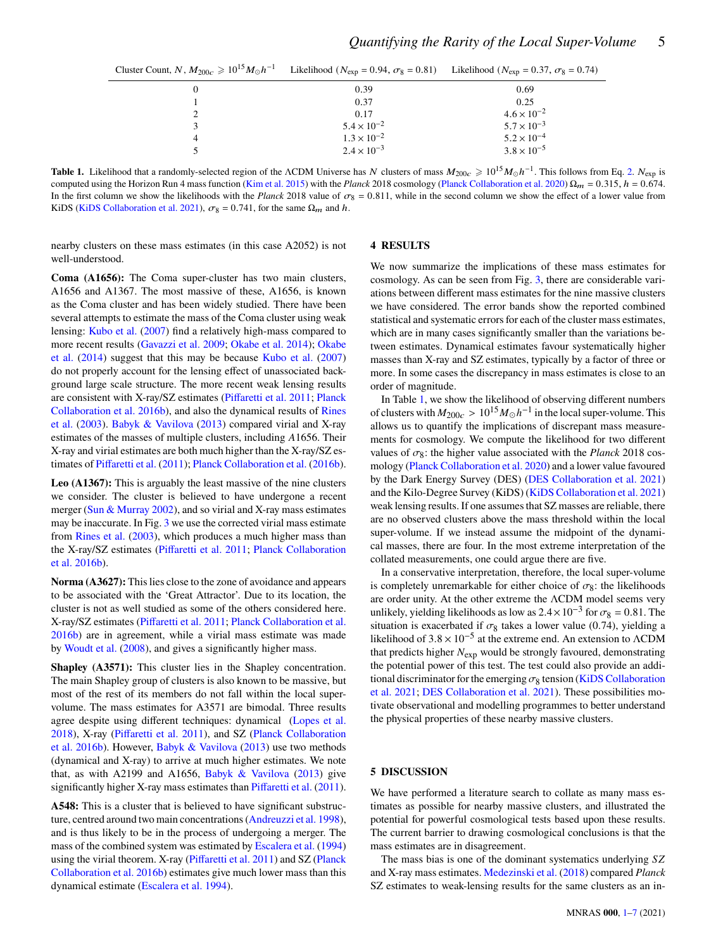| Cluster Count, N, $M_{200c} \geq 10^{15} M_{\odot} h^{-1}$ | Likelihood ( $N_{\rm exp} = 0.94$ , $\sigma_8 = 0.81$ ) Likelihood ( $N_{\rm exp} = 0.37$ , $\sigma_8 = 0.74$ ) |                      |
|------------------------------------------------------------|-----------------------------------------------------------------------------------------------------------------|----------------------|
| $\theta$                                                   | 0.39                                                                                                            | 0.69                 |
|                                                            | 0.37                                                                                                            | 0.25                 |
|                                                            | 0.17                                                                                                            | $4.6 \times 10^{-2}$ |
|                                                            | $5.4 \times 10^{-2}$                                                                                            | $5.7 \times 10^{-3}$ |
| 4                                                          | $1.3 \times 10^{-2}$                                                                                            | $5.2 \times 10^{-4}$ |
|                                                            | $2.4 \times 10^{-3}$                                                                                            | $3.8 \times 10^{-5}$ |

**Table 1.** Likelihood that a randomly-selected region of the ΛCDM Universe has N clusters of mass  $M_{200c} \geq 10^{15} M_{\odot} h^{-1}$ . This follows from Eq. [2.](#page-1-2)  $N_{\rm exp}$  is computed using the Horizon Run 4 mass function [\(Kim et al.](#page-5-6) [2015\)](#page-5-6) with the Planck 2018 cosmology [\(Planck Collaboration et al.](#page-6-3) [2020\)](#page-6-3)  $\Omega_m = 0.315$ ,  $h = 0.674$ . In the first column we show the likelihoods with the Planck 2018 value of  $\sigma_8 = 0.811$ , while in the second column we show the effect of a lower value from KiDS [\(KiDS Collaboration et al.](#page-5-5) [2021\)](#page-5-5),  $\sigma_8 = 0.741$ , for the same  $\Omega_m$  and h.

nearby clusters on these mass estimates (in this case A2052) is not well-understood.

<span id="page-4-2"></span><span id="page-4-1"></span>**4 RESULTS**

**Coma (A1656):** The Coma super-cluster has two main clusters, A1656 and A1367. The most massive of these, A1656, is known as the Coma cluster and has been widely studied. There have been several attempts to estimate the mass of the Coma cluster using weak lensing: [Kubo et al.](#page-5-18) [\(2007\)](#page-5-18) find a relatively high-mass compared to more recent results [\(Gavazzi et al.](#page-5-19) [2009;](#page-5-19) [Okabe et al.](#page-6-14) [2014\)](#page-6-14); [Okabe](#page-6-14) [et al.](#page-6-14) [\(2014\)](#page-6-14) suggest that this may be because [Kubo et al.](#page-5-18) [\(2007\)](#page-5-18) do not properly account for the lensing effect of unassociated background large scale structure. The more recent weak lensing results are consistent with X-ray/SZ estimates [\(Piffaretti et al.](#page-6-17) [2011;](#page-6-17) [Planck](#page-6-19) [Collaboration et al.](#page-6-19) [2016b\)](#page-6-19), and also the dynamical results of [Rines](#page-6-21) [et al.](#page-6-21) [\(2003\)](#page-6-21). [Babyk & Vavilova](#page-5-22) [\(2013\)](#page-5-22) compared virial and X-ray estimates of the masses of multiple clusters, including A1656. Their X-ray and virial estimates are both much higher than the X-ray/SZ estimates of [Piffaretti et al.](#page-6-17) [\(2011\)](#page-6-17); [Planck Collaboration et al.](#page-6-19) [\(2016b\)](#page-6-19).

**Leo (A1367):** This is arguably the least massive of the nine clusters we consider. The cluster is believed to have undergone a recent merger [\(Sun & Murray](#page-6-22) [2002\)](#page-6-22), and so virial and X-ray mass estimates may be inaccurate. In Fig. [3](#page-3-0) we use the corrected virial mass estimate from [Rines et al.](#page-6-21) [\(2003\)](#page-6-21), which produces a much higher mass than the X-ray/SZ estimates [\(Piffaretti et al.](#page-6-17) [2011;](#page-6-17) [Planck Collaboration](#page-6-19) [et al.](#page-6-19) [2016b\)](#page-6-19).

**Norma (A3627):** This lies close to the zone of avoidance and appears to be associated with the 'Great Attractor'. Due to its location, the cluster is not as well studied as some of the others considered here. X-ray/SZ estimates [\(Piffaretti et al.](#page-6-17) [2011;](#page-6-17) [Planck Collaboration et al.](#page-6-19) [2016b\)](#page-6-19) are in agreement, while a virial mass estimate was made by [Woudt et al.](#page-6-23) [\(2008\)](#page-6-23), and gives a significantly higher mass.

**Shapley (A3571):** This cluster lies in the Shapley concentration. The main Shapley group of clusters is also known to be massive, but most of the rest of its members do not fall within the local supervolume. The mass estimates for A3571 are bimodal. Three results agree despite using different techniques: dynamical [\(Lopes et al.](#page-5-26) [2018\)](#page-5-26), X-ray [\(Piffaretti et al.](#page-6-17) [2011\)](#page-6-17), and SZ [\(Planck Collaboration](#page-6-19) [et al.](#page-6-19) [2016b\)](#page-6-19). However, [Babyk & Vavilova](#page-5-22) [\(2013\)](#page-5-22) use two methods (dynamical and X-ray) to arrive at much higher estimates. We note that, as with A2199 and A1656, [Babyk & Vavilova](#page-5-22) [\(2013\)](#page-5-22) give significantly higher X-ray mass estimates than [Piffaretti et al.](#page-6-17) [\(2011\)](#page-6-17).

**A548:** This is a cluster that is believed to have significant substructure, centred around two main concentrations [\(Andreuzzi et al.](#page-5-28) [1998\)](#page-5-28), and is thus likely to be in the process of undergoing a merger. The mass of the combined system was estimated by [Escalera et al.](#page-5-24) [\(1994\)](#page-5-24) using the virial theorem. X-ray [\(Piffaretti et al.](#page-6-17) [2011\)](#page-6-17) and SZ [\(Planck](#page-6-19) [Collaboration et al.](#page-6-19) [2016b\)](#page-6-19) estimates give much lower mass than this dynamical estimate [\(Escalera et al.](#page-5-24) [1994\)](#page-5-24).

We now summarize the implications of these mass estimates for cosmology. As can be seen from Fig. [3,](#page-3-0) there are considerable variations between different mass estimates for the nine massive clusters we have considered. The error bands show the reported combined statistical and systematic errors for each of the cluster mass estimates, which are in many cases significantly smaller than the variations between estimates. Dynamical estimates favour systematically higher masses than X-ray and SZ estimates, typically by a factor of three or more. In some cases the discrepancy in mass estimates is close to an order of magnitude.

In Table [1,](#page-4-2) we show the likelihood of observing different numbers of clusters with  $M_{200c} > 10^{15} M_{\odot} h^{-1}$  in the local super-volume. This allows us to quantify the implications of discrepant mass measurements for cosmology. We compute the likelihood for two different values of  $\sigma_8$ : the higher value associated with the *Planck* 2018 cosmology [\(Planck Collaboration et al.](#page-6-3) [2020\)](#page-6-3) and a lower value favoured by the Dark Energy Survey (DES) [\(DES Collaboration et al.](#page-5-29) [2021\)](#page-5-29) and the Kilo-Degree Survey (KiDS) [\(KiDS Collaboration et al.](#page-5-5) [2021\)](#page-5-5) weak lensing results. If one assumes that SZ masses are reliable, there are no observed clusters above the mass threshold within the local super-volume. If we instead assume the midpoint of the dynamical masses, there are four. In the most extreme interpretation of the collated measurements, one could argue there are five.

In a conservative interpretation, therefore, the local super-volume is completely unremarkable for either choice of  $\sigma_{8}$ : the likelihoods are order unity. At the other extreme the ΛCDM model seems very unlikely, yielding likelihoods as low as  $2.4 \times 10^{-3}$  for  $\sigma_8 = 0.81$ . The situation is exacerbated if  $\sigma_8$  takes a lower value (0.74), yielding a likelihood of  $3.8 \times 10^{-5}$  at the extreme end. An extension to  $\Lambda$ CDM that predicts higher  $N_{\text{exp}}$  would be strongly favoured, demonstrating the potential power of this test. The test could also provide an additional discriminator for the emerging  $\sigma_8$  tension [\(KiDS Collaboration](#page-5-5) [et al.](#page-5-5) [2021;](#page-5-5) [DES Collaboration et al.](#page-5-29) [2021\)](#page-5-29). These possibilities motivate observational and modelling programmes to better understand the physical properties of these nearby massive clusters.

## <span id="page-4-0"></span>**5 DISCUSSION**

We have performed a literature search to collate as many mass estimates as possible for nearby massive clusters, and illustrated the potential for powerful cosmological tests based upon these results. The current barrier to drawing cosmological conclusions is that the mass estimates are in disagreement.

The mass bias is one of the dominant systematics underlying SZ and X-ray mass estimates. [Medezinski et al.](#page-5-30) [\(2018\)](#page-5-30) compared Planck SZ estimates to weak-lensing results for the same clusters as an in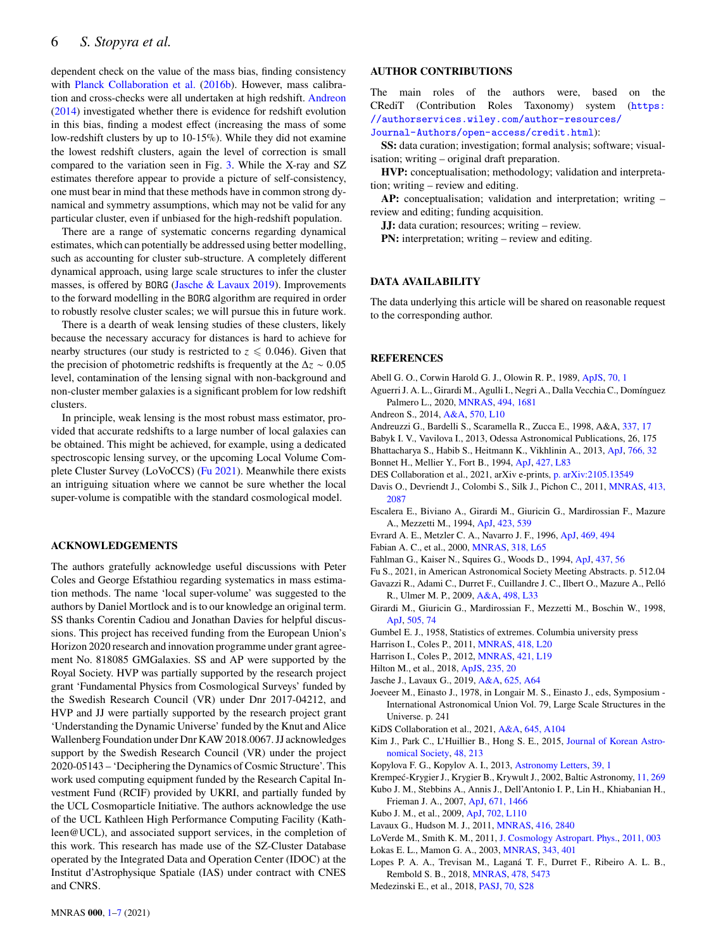dependent check on the value of the mass bias, finding consistency with [Planck Collaboration et al.](#page-6-19) [\(2016b\)](#page-6-19). However, mass calibration and cross-checks were all undertaken at high redshift. [Andreon](#page-5-31) [\(2014\)](#page-5-31) investigated whether there is evidence for redshift evolution in this bias, finding a modest effect (increasing the mass of some low-redshift clusters by up to 10-15%). While they did not examine the lowest redshift clusters, again the level of correction is small compared to the variation seen in Fig. [3.](#page-3-0) While the X-ray and SZ estimates therefore appear to provide a picture of self-consistency, one must bear in mind that these methods have in common strong dynamical and symmetry assumptions, which may not be valid for any particular cluster, even if unbiased for the high-redshift population.

There are a range of systematic concerns regarding dynamical estimates, which can potentially be addressed using better modelling, such as accounting for cluster sub-structure. A completely different dynamical approach, using large scale structures to infer the cluster masses, is offered by BORG [\(Jasche & Lavaux](#page-5-10) [2019\)](#page-5-10). Improvements to the forward modelling in the BORG algorithm are required in order to robustly resolve cluster scales; we will pursue this in future work.

There is a dearth of weak lensing studies of these clusters, likely because the necessary accuracy for distances is hard to achieve for nearby structures (our study is restricted to  $z \leq 0.046$ ). Given that the precision of photometric redshifts is frequently at the  $\Delta z \sim 0.05$ level, contamination of the lensing signal with non-background and non-cluster member galaxies is a significant problem for low redshift clusters.

In principle, weak lensing is the most robust mass estimator, provided that accurate redshifts to a large number of local galaxies can be obtained. This might be achieved, for example, using a dedicated spectroscopic lensing survey, or the upcoming Local Volume Complete Cluster Survey (LoVoCCS) [\(Fu](#page-5-32) [2021\)](#page-5-32). Meanwhile there exists an intriguing situation where we cannot be sure whether the local super-volume is compatible with the standard cosmological model.

#### **ACKNOWLEDGEMENTS**

The authors gratefully acknowledge useful discussions with Peter Coles and George Efstathiou regarding systematics in mass estimation methods. The name 'local super-volume' was suggested to the authors by Daniel Mortlock and is to our knowledge an original term. SS thanks Corentin Cadiou and Jonathan Davies for helpful discussions. This project has received funding from the European Union's Horizon 2020 research and innovation programme under grant agreement No. 818085 GMGalaxies. SS and AP were supported by the Royal Society. HVP was partially supported by the research project grant 'Fundamental Physics from Cosmological Surveys' funded by the Swedish Research Council (VR) under Dnr 2017-04212, and HVP and JJ were partially supported by the research project grant 'Understanding the Dynamic Universe' funded by the Knut and Alice Wallenberg Foundation under Dnr KAW 2018.0067. JJ acknowledges support by the Swedish Research Council (VR) under the project 2020-05143 – 'Deciphering the Dynamics of Cosmic Structure'. This work used computing equipment funded by the Research Capital Investment Fund (RCIF) provided by UKRI, and partially funded by the UCL Cosmoparticle Initiative. The authors acknowledge the use of the UCL Kathleen High Performance Computing Facility (Kathleen@UCL), and associated support services, in the completion of this work. This research has made use of the SZ-Cluster Database operated by the Integrated Data and Operation Center (IDOC) at the Institut d'Astrophysique Spatiale (IAS) under contract with CNES and CNRS.

#### **AUTHOR CONTRIBUTIONS**

The main roles of the authors were, based on the CRediT (Contribution Roles Taxonomy) system ([https:](https://authorservices.wiley.com/author-resources/Journal-Authors/open-access/credit.html) [//authorservices.wiley.com/author-resources/](https://authorservices.wiley.com/author-resources/Journal-Authors/open-access/credit.html) [Journal-Authors/open-access/credit.html](https://authorservices.wiley.com/author-resources/Journal-Authors/open-access/credit.html)):

**SS:** data curation; investigation; formal analysis; software; visualisation; writing – original draft preparation.

**HVP:** conceptualisation; methodology; validation and interpretation; writing – review and editing.

**AP:** conceptualisation; validation and interpretation; writing – review and editing; funding acquisition.

**JJ:** data curation; resources; writing – review.

**PN:** interpretation; writing – review and editing.

#### **DATA AVAILABILITY**

The data underlying this article will be shared on reasonable request to the corresponding author.

## **REFERENCES**

- <span id="page-5-9"></span>Abell G. O., Corwin Harold G. J., Olowin R. P., 1989, [ApJS,](http://dx.doi.org/10.1086/191333) [70, 1](https://ui.adsabs.harvard.edu/abs/1989ApJS...70....1A)
- <span id="page-5-17"></span>Aguerri J. A. L., Girardi M., Agulli I., Negri A., Dalla Vecchia C., Domínguez Palmero L., 2020, [MNRAS,](http://dx.doi.org/10.1093/mnras/staa800) [494, 1681](https://ui.adsabs.harvard.edu/abs/2020MNRAS.494.1681A)
- <span id="page-5-31"></span>Andreon S., 2014, [A&A,](http://dx.doi.org/10.1051/0004-6361/201424387) [570, L10](https://ui.adsabs.harvard.edu/abs/2014A&A...570L..10A)
- <span id="page-5-28"></span>Andreuzzi G., Bardelli S., Scaramella R., Zucca E., 1998, A&A, [337, 17](https://ui.adsabs.harvard.edu/abs/1998A&A...337...17A)
- <span id="page-5-22"></span>Babyk I. V., Vavilova I., 2013, Odessa Astronomical Publications, 26, 175
- <span id="page-5-7"></span>Bhattacharya S., Habib S., Heitmann K., Vikhlinin A., 2013, [ApJ,](http://dx.doi.org/10.1088/0004-637X/766/1/32) [766, 32](https://ui.adsabs.harvard.edu/abs/2013ApJ...766...32B)
- <span id="page-5-12"></span>Bonnet H., Mellier Y., Fort B., 1994, [ApJ,](http://dx.doi.org/10.1086/187370) [427, L83](https://ui.adsabs.harvard.edu/abs/1994ApJ...427L..83B)
- <span id="page-5-29"></span>DES Collaboration et al., 2021, arXiv e-prints, [p. arXiv:2105.13549](https://ui.adsabs.harvard.edu/abs/2021arXiv210513549D)
- <span id="page-5-1"></span>Davis O., Devriendt J., Colombi S., Silk J., Pichon C., 2011, [MNRAS,](http://dx.doi.org/10.1111/j.1365-2966.2011.18286.x) [413,](https://ui.adsabs.harvard.edu/abs/2011MNRAS.413.2087D) [2087](https://ui.adsabs.harvard.edu/abs/2011MNRAS.413.2087D)
- <span id="page-5-24"></span>Escalera E., Biviano A., Girardi M., Giuricin G., Mardirossian F., Mazure A., Mezzetti M., 1994, [ApJ,](http://dx.doi.org/10.1086/173833) [423, 539](https://ui.adsabs.harvard.edu/abs/1994ApJ...423..539E)
- <span id="page-5-14"></span>Evrard A. E., Metzler C. A., Navarro J. F., 1996, [ApJ,](http://dx.doi.org/10.1086/177798) [469, 494](https://ui.adsabs.harvard.edu/abs/1996ApJ...469..494E)
- <span id="page-5-21"></span>Fabian A. C., et al., 2000, [MNRAS,](http://dx.doi.org/10.1046/j.1365-8711.2000.03904.x) [318, L65](https://ui.adsabs.harvard.edu/abs/2000MNRAS.318L..65F)
- <span id="page-5-13"></span>Fahlman G., Kaiser N., Squires G., Woods D., 1994, [ApJ,](http://dx.doi.org/10.1086/174974) [437, 56](https://ui.adsabs.harvard.edu/abs/1994ApJ...437...56F)
- <span id="page-5-32"></span><span id="page-5-19"></span>Fu S., 2021, in American Astronomical Society Meeting Abstracts. p. 512.04 Gavazzi R., Adami C., Durret F., Cuillandre J. C., Ilbert O., Mazure A., Pelló
- R., Ulmer M. P., 2009, [A&A,](http://dx.doi.org/10.1051/0004-6361/200911841) [498, L33](https://ui.adsabs.harvard.edu/abs/2009A&A...498L..33G)
- <span id="page-5-15"></span>Girardi M., Giuricin G., Mardirossian F., Mezzetti M., Boschin W., 1998, [ApJ,](http://dx.doi.org/10.1086/306157) [505, 74](https://ui.adsabs.harvard.edu/abs/1998ApJ...505...74G)
- <span id="page-5-0"></span>Gumbel E. J., 1958, Statistics of extremes. Columbia university press
- <span id="page-5-2"></span>Harrison I., Coles P., 2011, [MNRAS,](http://dx.doi.org/10.1111/j.1745-3933.2011.01134.x) [418, L20](https://ui.adsabs.harvard.edu/abs/2011MNRAS.418L..20H)
- <span id="page-5-3"></span>Harrison I., Coles P., 2012, [MNRAS,](http://dx.doi.org/10.1111/j.1745-3933.2011.01198.x) [421, L19](https://ui.adsabs.harvard.edu/abs/2012MNRAS.421L..19H)
- <span id="page-5-8"></span>Hilton M., et al., 2018, [ApJS,](http://dx.doi.org/10.3847/1538-4365/aaa6cb) [235, 20](https://ui.adsabs.harvard.edu/abs/2018ApJS..235...20H)
- <span id="page-5-10"></span>Jasche J., Lavaux G., 2019, [A&A,](http://dx.doi.org/10.1051/0004-6361/201833710) [625, A64](https://ui.adsabs.harvard.edu/abs/2019A&A...625A..64J)
- <span id="page-5-23"></span>Joeveer M., Einasto J., 1978, in Longair M. S., Einasto J., eds, Symposium - International Astronomical Union Vol. 79, Large Scale Structures in the Universe. p. 241
- <span id="page-5-5"></span>KiDS Collaboration et al., 2021, [A&A,](http://dx.doi.org/10.1051/0004-6361/202039070) [645, A104](https://ui.adsabs.harvard.edu/abs/2021A&A...645A.104A)
- <span id="page-5-6"></span>Kim J., Park C., L'Huillier B., Hong S. E., 2015, [Journal of Korean Astro](http://dx.doi.org/10.5303/JKAS.2015.48.4.213)[nomical Society,](http://dx.doi.org/10.5303/JKAS.2015.48.4.213) [48, 213](https://ui.adsabs.harvard.edu/abs/2015JKAS...48..213K)
- <span id="page-5-27"></span>Kopylova F. G., Kopylov A. I., 2013, [Astronomy Letters,](http://dx.doi.org/10.1134/S1063773712120043) [39, 1](https://ui.adsabs.harvard.edu/abs/2013AstL...39....1K)
- <span id="page-5-25"></span>Krempeć-Krygier J., Krygier B., Krywult J., 2002, Baltic Astronomy, [11, 269](https://ui.adsabs.harvard.edu/abs/2002BaltA..11..269K)
- <span id="page-5-18"></span>Kubo J. M., Stebbins A., Annis J., Dell'Antonio I. P., Lin H., Khiabanian H., Frieman J. A., 2007, [ApJ,](http://dx.doi.org/10.1086/523101) [671, 1466](https://ui.adsabs.harvard.edu/abs/2007ApJ...671.1466K)
- <span id="page-5-20"></span>Kubo J. M., et al., 2009, [ApJ,](http://dx.doi.org/10.1088/0004-637X/702/2/L110) [702, L110](https://ui.adsabs.harvard.edu/abs/2009ApJ...702L.110K)
- <span id="page-5-11"></span>Lavaux G., Hudson M. J., 2011, [MNRAS,](http://dx.doi.org/10.1111/j.1365-2966.2011.19233.x) [416, 2840](https://ui.adsabs.harvard.edu/abs/2011MNRAS.416.2840L)
- <span id="page-5-4"></span>LoVerde M., Smith K. M., 2011, [J. Cosmology Astropart. Phys.,](http://dx.doi.org/10.1088/1475-7516/2011/08/003) [2011, 003](https://ui.adsabs.harvard.edu/abs/2011JCAP...08..003L)
- <span id="page-5-16"></span>Łokas E. L., Mamon G. A., 2003, [MNRAS,](http://dx.doi.org/10.1046/j.1365-8711.2003.06684.x) [343, 401](https://ui.adsabs.harvard.edu/abs/2003MNRAS.343..401L)
- <span id="page-5-26"></span>Lopes P. A. A., Trevisan M., Laganá T. F., Durret F., Ribeiro A. L. B., Rembold S. B., 2018, [MNRAS,](http://dx.doi.org/10.1093/mnras/sty1374) [478, 5473](https://ui.adsabs.harvard.edu/abs/2018MNRAS.478.5473L)
- <span id="page-5-30"></span>Medezinski E., et al., 2018, [PASJ,](http://dx.doi.org/10.1093/pasj/psx128) [70, S28](https://ui.adsabs.harvard.edu/abs/2018PASJ...70S..28M)